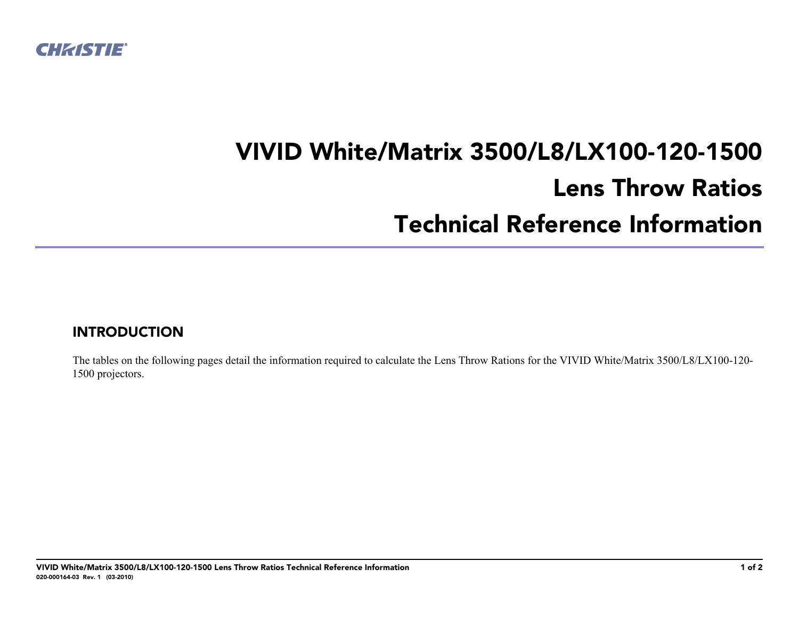

## **VIVID White/Matrix 3500/L8/LX100-120-1500 Lens Throw Ratios Technical Reference Information**

## **INTRODUCTION**

The tables on the following pages detail the information required to calculate the Lens Throw Rations for the VIVID White/Matrix 3500/L8/LX100-120- 1500 projectors.